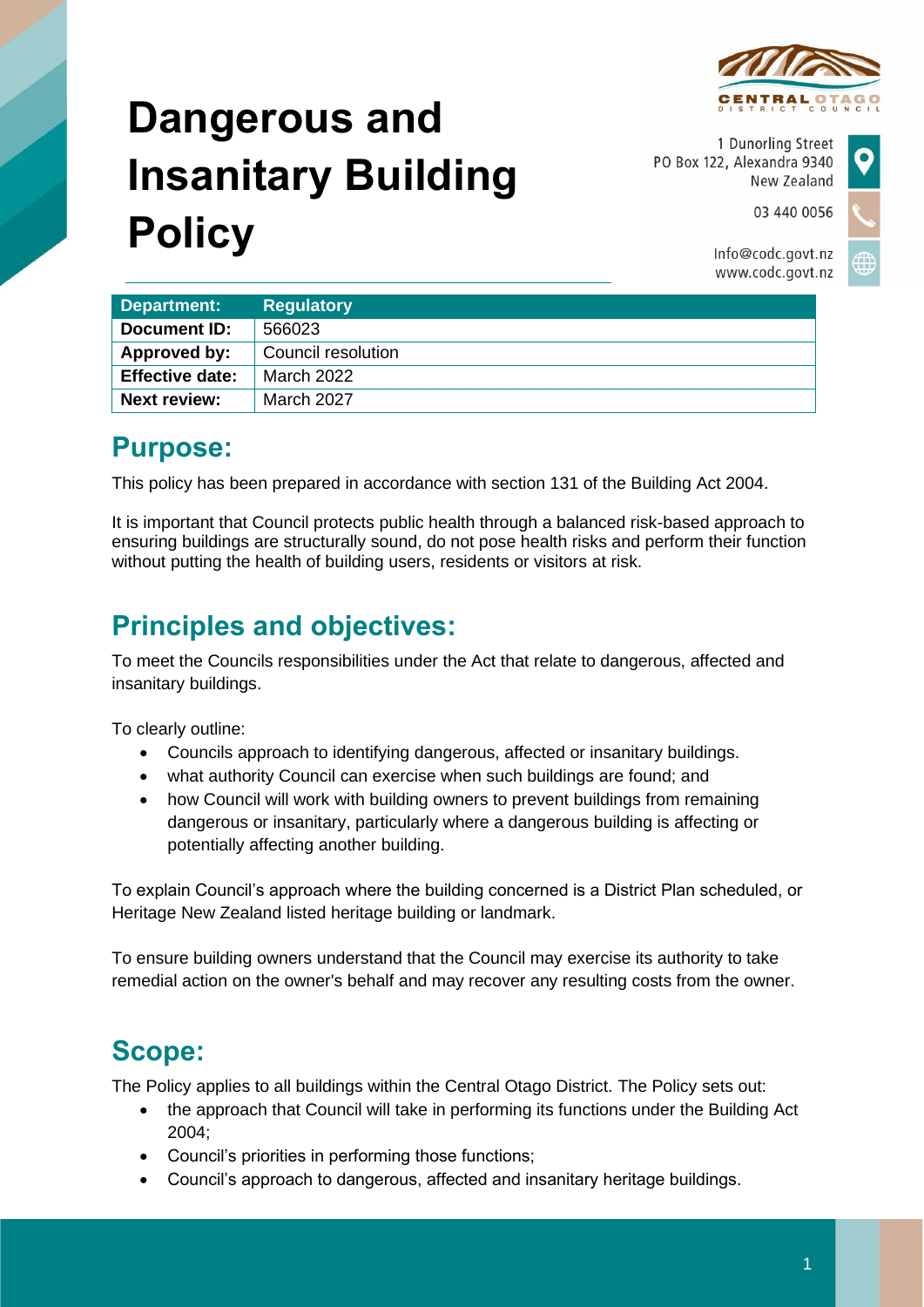

# **Dangerous and Insanitary Building Policy**

1 Dunorling Street PO Box 122, Alexandra 9340 New Zealand

03 440 0056

Info@codc.govt.nz www.codc.govt.nz

| Department:            | <b>Regulatory</b>  |
|------------------------|--------------------|
| Document ID:           | 566023             |
| Approved by:           | Council resolution |
| <b>Effective date:</b> | March 2022         |
| <b>Next review:</b>    | <b>March 2027</b>  |

### **Purpose:**

This policy has been prepared in accordance with section 131 of the Building Act 2004.

It is important that Council protects public health through a balanced risk-based approach to ensuring buildings are structurally sound, do not pose health risks and perform their function without putting the health of building users, residents or visitors at risk.

# **Principles and objectives:**

To meet the Councils responsibilities under the Act that relate to dangerous, affected and insanitary buildings.

To clearly outline:

- Councils approach to identifying dangerous, affected or insanitary buildings.
- what authority Council can exercise when such buildings are found; and
- how Council will work with building owners to prevent buildings from remaining dangerous or insanitary, particularly where a dangerous building is affecting or potentially affecting another building.

To explain Council's approach where the building concerned is a District Plan scheduled, or Heritage New Zealand listed heritage building or landmark.

To ensure building owners understand that the Council may exercise its authority to take remedial action on the owner's behalf and may recover any resulting costs from the owner.

### **Scope:**

The Policy applies to all buildings within the Central Otago District. The Policy sets out:

- the approach that Council will take in performing its functions under the Building Act 2004;
- Council's priorities in performing those functions;
- Council's approach to dangerous, affected and insanitary heritage buildings.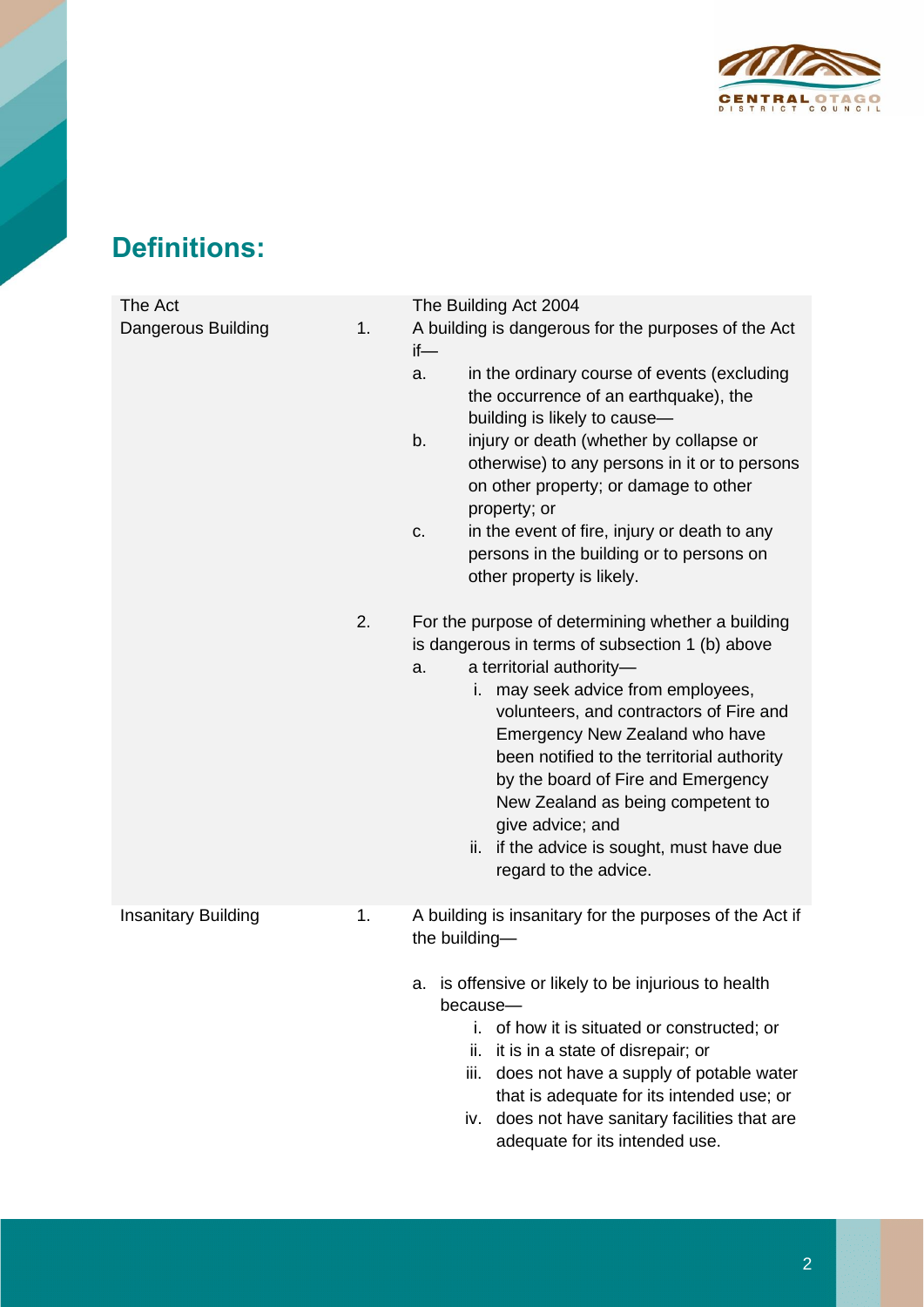

## **Definitions:**

| The Act                    |    | The Building Act 2004                                                                                                                                                                                                                                                                                                                                                                                                                                                            |
|----------------------------|----|----------------------------------------------------------------------------------------------------------------------------------------------------------------------------------------------------------------------------------------------------------------------------------------------------------------------------------------------------------------------------------------------------------------------------------------------------------------------------------|
| Dangerous Building         | 1. | A building is dangerous for the purposes of the Act<br>$if$ —                                                                                                                                                                                                                                                                                                                                                                                                                    |
|                            |    | in the ordinary course of events (excluding<br>a.<br>the occurrence of an earthquake), the<br>building is likely to cause-                                                                                                                                                                                                                                                                                                                                                       |
|                            |    | b.<br>injury or death (whether by collapse or<br>otherwise) to any persons in it or to persons<br>on other property; or damage to other<br>property; or                                                                                                                                                                                                                                                                                                                          |
|                            |    | in the event of fire, injury or death to any<br>C.<br>persons in the building or to persons on<br>other property is likely.                                                                                                                                                                                                                                                                                                                                                      |
|                            | 2. | For the purpose of determining whether a building<br>is dangerous in terms of subsection 1 (b) above<br>a territorial authority-<br>a.<br>may seek advice from employees,<br>i.<br>volunteers, and contractors of Fire and<br>Emergency New Zealand who have<br>been notified to the territorial authority<br>by the board of Fire and Emergency<br>New Zealand as being competent to<br>give advice; and<br>ii. if the advice is sought, must have due<br>regard to the advice. |
| <b>Insanitary Building</b> | 1. | A building is insanitary for the purposes of the Act if<br>the building-                                                                                                                                                                                                                                                                                                                                                                                                         |
|                            |    | is offensive or likely to be injurious to health<br>а.<br>because-                                                                                                                                                                                                                                                                                                                                                                                                               |
|                            |    | i. of how it is situated or constructed; or                                                                                                                                                                                                                                                                                                                                                                                                                                      |
|                            |    | it is in a state of disrepair; or<br>ii.                                                                                                                                                                                                                                                                                                                                                                                                                                         |
|                            |    | does not have a supply of potable water<br>iii.                                                                                                                                                                                                                                                                                                                                                                                                                                  |
|                            |    | that is adequate for its intended use; or                                                                                                                                                                                                                                                                                                                                                                                                                                        |
|                            |    | does not have sanitary facilities that are<br>iv.<br>adequate for its intended use.                                                                                                                                                                                                                                                                                                                                                                                              |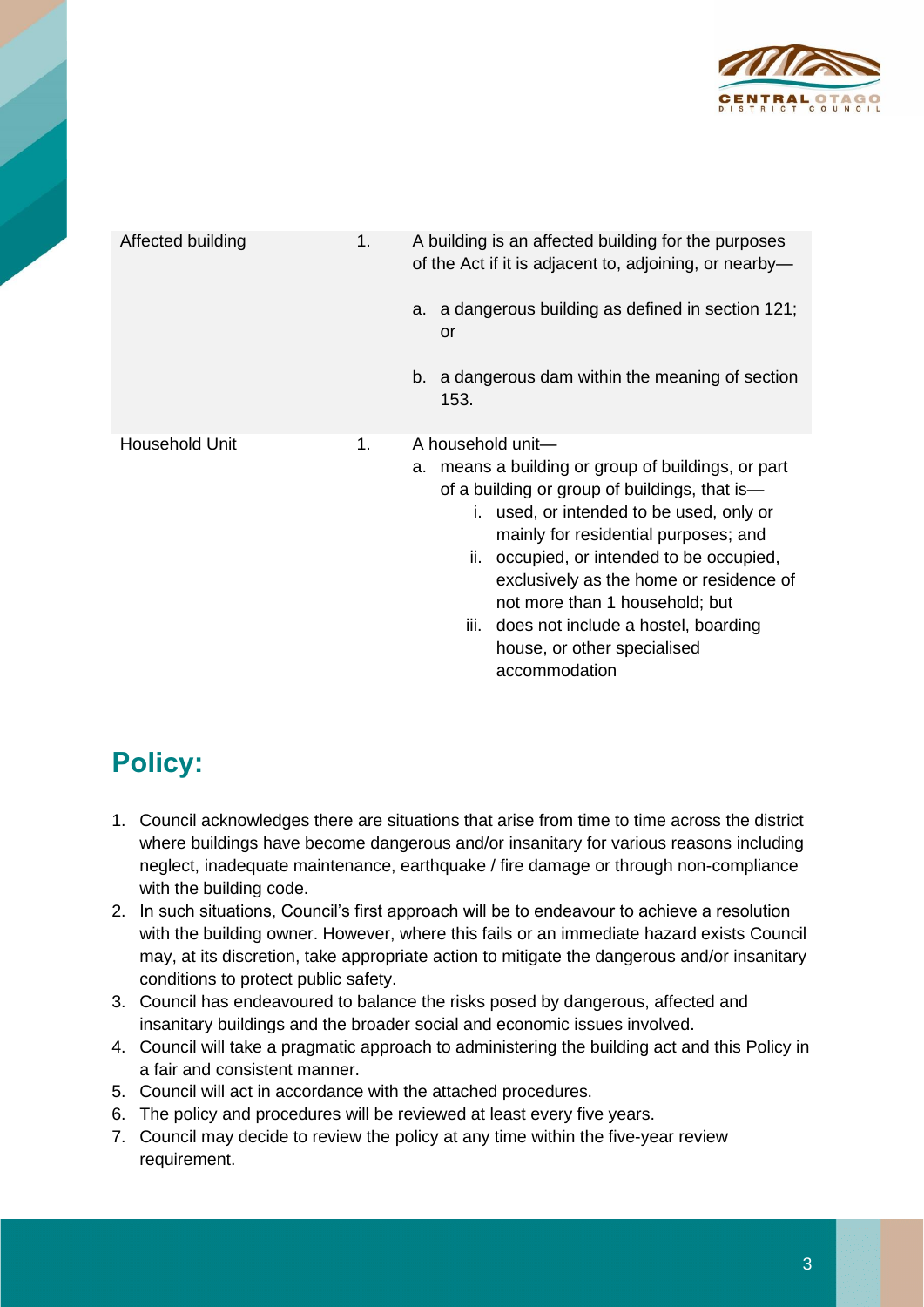

| Affected building | 1. | A building is an affected building for the purposes                                                                                                                                                                                                                                                                                                                                                                                   |
|-------------------|----|---------------------------------------------------------------------------------------------------------------------------------------------------------------------------------------------------------------------------------------------------------------------------------------------------------------------------------------------------------------------------------------------------------------------------------------|
|                   |    | of the Act if it is adjacent to, adjoining, or nearby-                                                                                                                                                                                                                                                                                                                                                                                |
|                   |    | a. a dangerous building as defined in section 121;<br>or                                                                                                                                                                                                                                                                                                                                                                              |
|                   |    | b. a dangerous dam within the meaning of section<br>153.                                                                                                                                                                                                                                                                                                                                                                              |
| Household Unit    | 1. | A household unit-<br>a. means a building or group of buildings, or part<br>of a building or group of buildings, that is—<br>i. used, or intended to be used, only or<br>mainly for residential purposes; and<br>ii. occupied, or intended to be occupied,<br>exclusively as the home or residence of<br>not more than 1 household; but<br>does not include a hostel, boarding<br>iii.<br>house, or other specialised<br>accommodation |

# **Policy:**

- 1. Council acknowledges there are situations that arise from time to time across the district where buildings have become dangerous and/or insanitary for various reasons including neglect, inadequate maintenance, earthquake / fire damage or through non-compliance with the building code.
- 2. In such situations, Council's first approach will be to endeavour to achieve a resolution with the building owner. However, where this fails or an immediate hazard exists Council may, at its discretion, take appropriate action to mitigate the dangerous and/or insanitary conditions to protect public safety.
- 3. Council has endeavoured to balance the risks posed by dangerous, affected and insanitary buildings and the broader social and economic issues involved.
- 4. Council will take a pragmatic approach to administering the building act and this Policy in a fair and consistent manner.
- 5. Council will act in accordance with the attached procedures.
- 6. The policy and procedures will be reviewed at least every five years.
- 7. Council may decide to review the policy at any time within the five-year review requirement.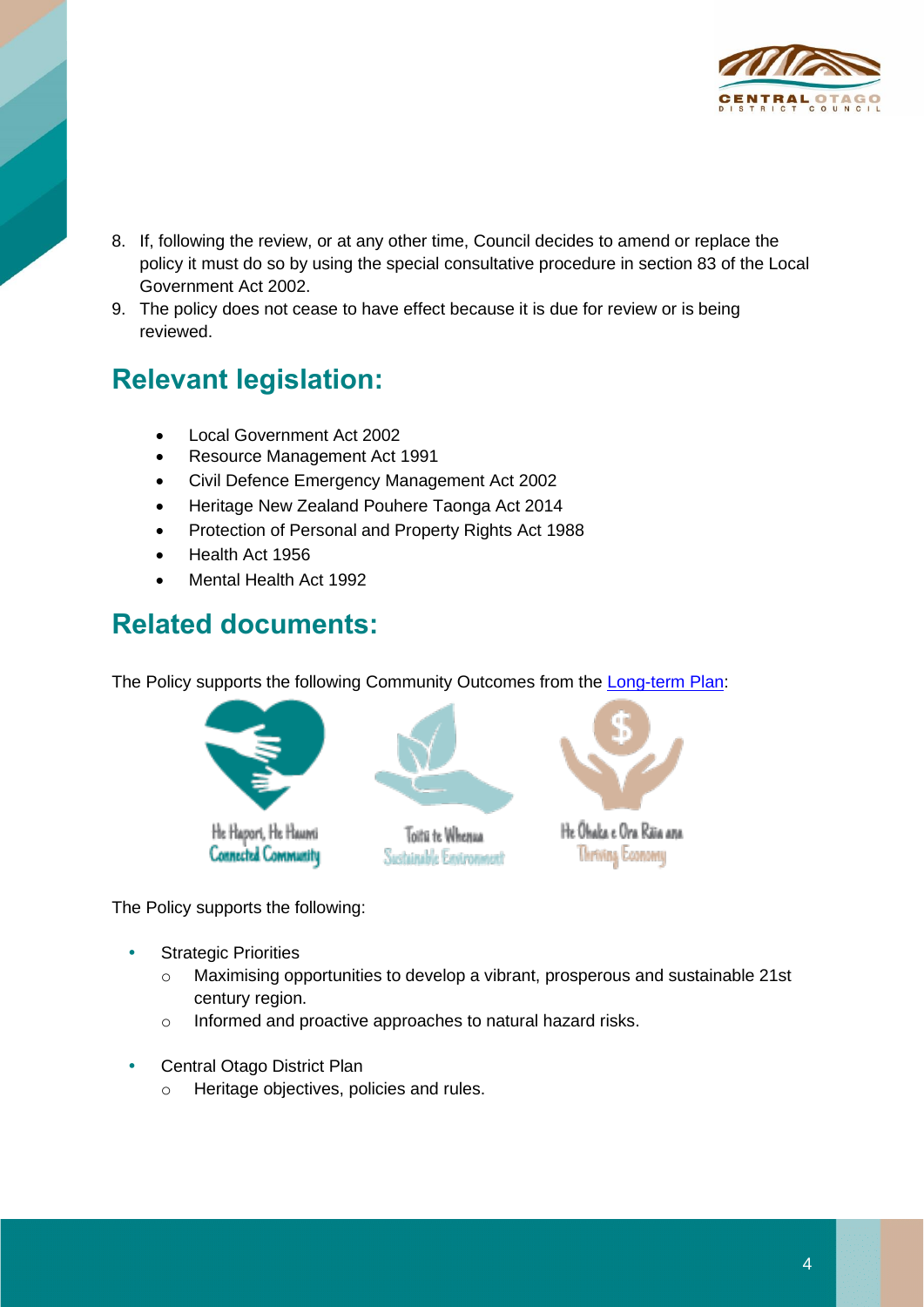

- 8. If, following the review, or at any other time, Council decides to amend or replace the policy it must do so by using the special consultative procedure in section 83 of the Local Government Act 2002.
- 9. The policy does not cease to have effect because it is due for review or is being reviewed.

### **Relevant legislation:**

- Local Government Act 2002
- Resource Management Act 1991
- Civil Defence Emergency Management Act 2002
- Heritage New Zealand Pouhere Taonga Act 2014
- Protection of Personal and Property Rights Act 1988
- Health Act 1956
- Mental Health Act 1992

### **Related documents:**

The Policy supports the following Community Outcomes from the [Long-term Plan:](https://www.codc.govt.nz/repository/libraries/id:2apsqkk8g1cxbyoqohn0/hierarchy/sitecollectiondocuments/plans/long-term-plan/LTP%202021-2031.pdf)



**Connected Community** 



Toitü te Whenua Sustainable Environment



**Thriving Economy** 

The Policy supports the following:

- Strategic Priorities
	- o Maximising opportunities to develop a vibrant, prosperous and sustainable 21st century region.
	- o Informed and proactive approaches to natural hazard risks.
- Central Otago District Plan
	- o Heritage objectives, policies and rules.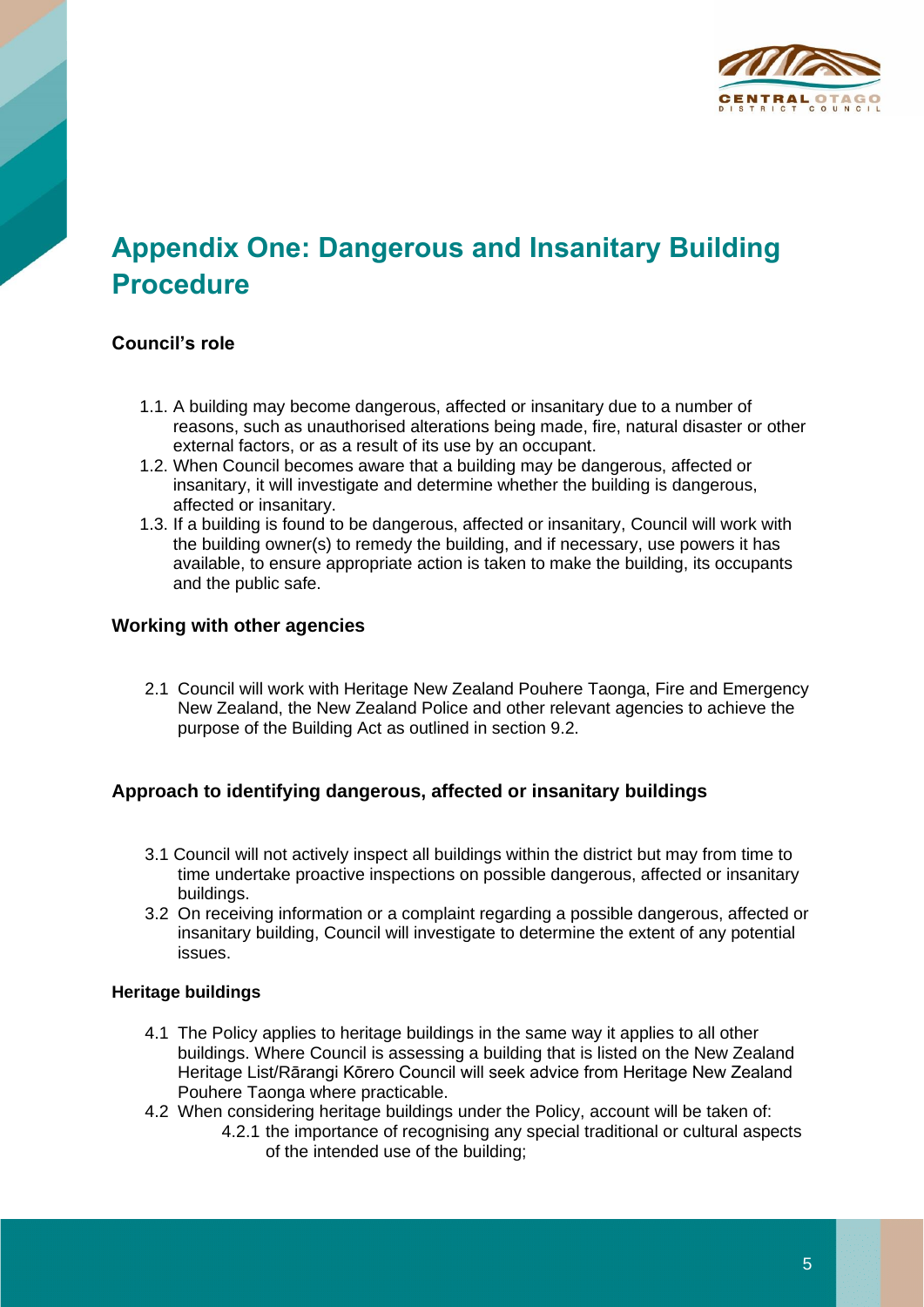

# **Appendix One: Dangerous and Insanitary Building Procedure**

### **Council's role**

- 1.1. A building may become dangerous, affected or insanitary due to a number of reasons, such as unauthorised alterations being made, fire, natural disaster or other external factors, or as a result of its use by an occupant.
- 1.2. When Council becomes aware that a building may be dangerous, affected or insanitary, it will investigate and determine whether the building is dangerous, affected or insanitary.
- 1.3. If a building is found to be dangerous, affected or insanitary, Council will work with the building owner(s) to remedy the building, and if necessary, use powers it has available, to ensure appropriate action is taken to make the building, its occupants and the public safe.

### **Working with other agencies**

2.1 Council will work with Heritage New Zealand Pouhere Taonga, Fire and Emergency New Zealand, the New Zealand Police and other relevant agencies to achieve the purpose of the Building Act as outlined in section 9.2.

### **Approach to identifying dangerous, affected or insanitary buildings**

- 3.1 Council will not actively inspect all buildings within the district but may from time to time undertake proactive inspections on possible dangerous, affected or insanitary buildings.
- 3.2 On receiving information or a complaint regarding a possible dangerous, affected or insanitary building, Council will investigate to determine the extent of any potential issues.

### **Heritage buildings**

- 4.1 The Policy applies to heritage buildings in the same way it applies to all other buildings. Where Council is assessing a building that is listed on the New Zealand Heritage List/Rārangi Kōrero Council will seek advice from Heritage New Zealand Pouhere Taonga where practicable.
- 4.2 When considering heritage buildings under the Policy, account will be taken of:
	- 4.2.1 the importance of recognising any special traditional or cultural aspects of the intended use of the building;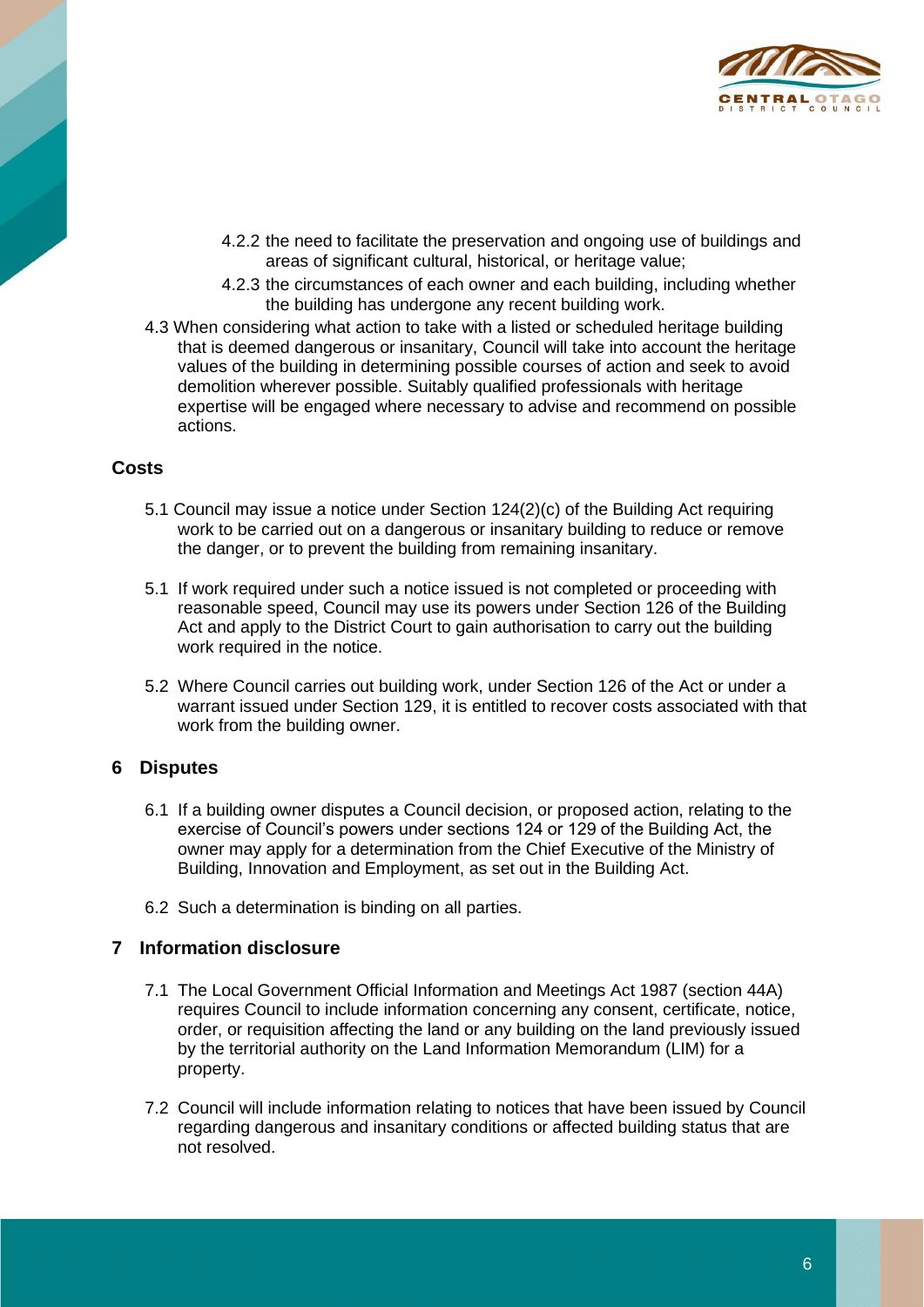

- 4.2.2 the need to facilitate the preservation and ongoing use of buildings and areas of significant cultural, historical, or heritage value;
- 4.2.3 the circumstances of each owner and each building, including whether the building has undergone any recent building work.
- 4.3 When considering what action to take with a listed or scheduled heritage building that is deemed dangerous or insanitary, Council will take into account the heritage values of the building in determining possible courses of action and seek to avoid demolition wherever possible. Suitably qualified professionals with heritage expertise will be engaged where necessary to advise and recommend on possible actions.

#### **Costs**

- 5.1 Council may issue a notice under Section 124(2)(c) of the Building Act requiring work to be carried out on a dangerous or insanitary building to reduce or remove the danger, or to prevent the building from remaining insanitary.
- 5.1 If work required under such a notice issued is not completed or proceeding with reasonable speed, Council may use its powers under Section 126 of the Building Act and apply to the District Court to gain authorisation to carry out the building work required in the notice.
- 5.2 Where Council carries out building work, under Section 126 of the Act or under a warrant issued under Section 129, it is entitled to recover costs associated with that work from the building owner.

### **6 Disputes**

- 6.1 If a building owner disputes a Council decision, or proposed action, relating to the exercise of Council's powers under sections 124 or 129 of the Building Act, the owner may apply for a determination from the Chief Executive of the Ministry of Building, Innovation and Employment, as set out in the Building Act.
- 6.2 Such a determination is binding on all parties.

#### **7 Information disclosure**

- 7.1 The Local Government Official Information and Meetings Act 1987 (section 44A) requires Council to include information concerning any consent, certificate, notice, order, or requisition affecting the land or any building on the land previously issued by the territorial authority on the Land Information Memorandum (LIM) for a property.
- 7.2 Council will include information relating to notices that have been issued by Council regarding dangerous and insanitary conditions or affected building status that are not resolved.